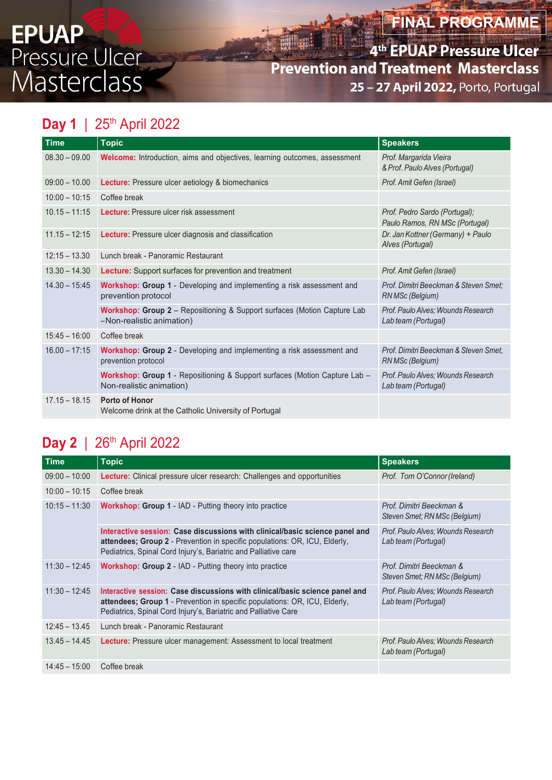# **FINAL PROGRAMME**

**th EPUAP Pressure Ulcer Prevention and Treatment Masterclass** 25 – 27 April 2022, Porto, Portugal **EPUAP<br>Pressure Ulcer**<br>Masterclass **Prevention and Treatment Masterclass**<br>Masterclass 25 – 27 April 2022, Porto, Portugal

### **Day 1** | 25<sup>th</sup> April 2022

| <b>Time</b>     | <b>Topic</b>                                                                                                      | <b>Speakers</b>                                                 |
|-----------------|-------------------------------------------------------------------------------------------------------------------|-----------------------------------------------------------------|
| $08.30 - 09.00$ | <b>Welcome:</b> Introduction, aims and objectives, learning outcomes, assessment                                  | Prof. Margarida Vieira<br>& Prof. Paulo Alves (Portugal)        |
| $09:00 - 10.00$ | Lecture: Pressure ulcer aetiology & biomechanics                                                                  | Prof. Amit Gefen (Israel)                                       |
| $10:00 - 10:15$ | Coffee break                                                                                                      |                                                                 |
| $10.15 - 11:15$ | Lecture: Pressure ulcer risk assessment                                                                           | Prof. Pedro Sardo (Portugal);<br>Paulo Ramos, RN MSc (Portugal) |
| $11.15 - 12:15$ | Lecture: Pressure ulcer diagnosis and classification                                                              | Dr. Jan Kottner (Germany) + Paulo<br>Alves (Portugal)           |
| $12:15 - 13.30$ | Lunch break - Panoramic Restaurant                                                                                |                                                                 |
| $13.30 - 14.30$ | Lecture: Support surfaces for prevention and treatment                                                            | Prof. Amit Gefen (Israel)                                       |
| $14.30 - 15:45$ | Workshop: Group 1 - Developing and implementing a risk assessment and<br>prevention protocol                      | Prof. Dimitri Beeckman & Steven Smet:<br>RN MSc (Belgium)       |
|                 | Workshop: Group 2 - Repositioning & Support surfaces (Motion Capture Lab<br>-Non-realistic animation)             | Prof. Paulo Alves; Wounds Research<br>Lab team (Portugal)       |
| $15:45 - 16:00$ | Coffee break                                                                                                      |                                                                 |
| $16.00 - 17:15$ | Workshop: Group 2 - Developing and implementing a risk assessment and<br>prevention protocol                      | Prof. Dimitri Beeckman & Steven Smet.<br>RN MSc (Belgium)       |
|                 | <b>Workshop: Group 1 - Repositioning &amp; Support surfaces (Motion Capture Lab -</b><br>Non-realistic animation) | Prof. Paulo Alves: Wounds Research<br>Lab team (Portugal)       |
| $17.15 - 18.15$ | Porto of Honor<br>Welcome drink at the Catholic University of Portugal                                            |                                                                 |

### **Day 2** | 26<sup>th</sup> April 2022

| <b>Time</b>     | <b>Topic</b>                                                                                                                                                                                                                        | <b>Speakers</b>                                           |
|-----------------|-------------------------------------------------------------------------------------------------------------------------------------------------------------------------------------------------------------------------------------|-----------------------------------------------------------|
| $09:00 - 10:00$ | <b>Lecture:</b> Clinical pressure ulcer research: Challenges and opportunities                                                                                                                                                      | Prof. Tom O'Connor (Ireland)                              |
| $10:00 - 10:15$ | Coffee break                                                                                                                                                                                                                        |                                                           |
| $10:15 - 11:30$ | <b>Workshop: Group 1 - IAD - Putting theory into practice</b>                                                                                                                                                                       | Prof. Dimitri Beeckman &<br>Steven Smet: RN MSc (Belgium) |
|                 | Interactive session: Case discussions with clinical/basic science panel and<br>attendees; Group 2 - Prevention in specific populations: OR, ICU, Elderly,<br>Pediatrics, Spinal Cord Injury's, Bariatric and Palliative care        | Prof. Paulo Alves: Wounds Research<br>Lab team (Portugal) |
| $11:30 - 12:45$ | <b>Workshop: Group 2 - IAD - Putting theory into practice</b>                                                                                                                                                                       | Prof. Dimitri Beeckman &<br>Steven Smet; RN MSc (Belgium) |
| $11:30 - 12:45$ | Interactive session: Case discussions with clinical/basic science panel and<br><b>attendees; Group 1</b> - Prevention in specific populations: OR, ICU, Elderly,<br>Pediatrics, Spinal Cord Injury's, Bariatric and Palliative Care | Prof. Paulo Alves; Wounds Research<br>Lab team (Portugal) |
| $12:45 - 13.45$ | Lunch break - Panoramic Restaurant                                                                                                                                                                                                  |                                                           |
| $13.45 - 14.45$ | <b>Lecture:</b> Pressure ulcer management: Assessment to local treatment                                                                                                                                                            | Prof. Paulo Alves: Wounds Research<br>Lab team (Portugal) |
| $14:45 - 15:00$ | Coffee break                                                                                                                                                                                                                        |                                                           |